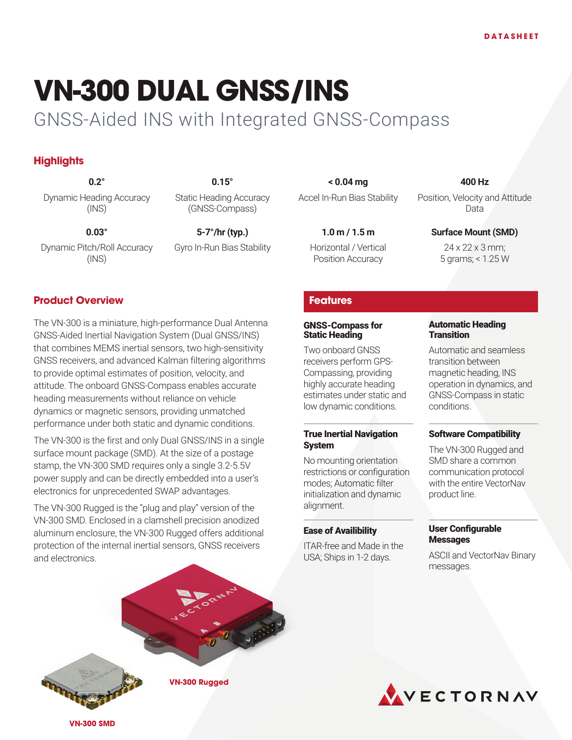# **VN-300 DUAL GNSS/INS**

## GNSS-Aided INS with Integrated GNSS-Compass

### **Highlights**

Dynamic Heading Accuracy (INS)

Static Heading Accuracy (GNSS-Compass)

**0.03° 5-7°/hr (typ.) 1.0 m / 1.5 m Surface Mount (SMD)** Gyro In-Run Bias Stability Horizontal / Vertical

Dynamic Pitch/Roll Accuracy (INS)

#### **Product Overview**

The VN-300 is a miniature, high-performance Dual Antenna GNSS-Aided Inertial Navigation System (Dual GNSS/INS) that combines MEMS inertial sensors, two high-sensitivity GNSS receivers, and advanced Kalman filtering algorithms to provide optimal estimates of position, velocity, and attitude. The onboard GNSS-Compass enables accurate heading measurements without reliance on vehicle dynamics or magnetic sensors, providing unmatched performance under both static and dynamic conditions.

The VN-300 is the first and only Dual GNSS/INS in a single surface mount package (SMD). At the size of a postage stamp, the VN-300 SMD requires only a single 3.2-5.5V power supply and can be directly embedded into a user's electronics for unprecedented SWAP advantages.

The VN-300 Rugged is the "plug and play" version of the VN-300 SMD. Enclosed in a clamshell precision anodized aluminum enclosure, the VN-300 Rugged offers additional protection of the internal inertial sensors, GNSS receivers and electronics.

**0.2° 0.15° < 0.04 mg 400 Hz** Accel In-Run Bias Stability Position, Velocity and Attitude

Position Accuracy

Data

24 x 22 x 3 mm; 5 grams; < 1.25 W

#### **Features**

#### GNSS-Compass for Static Heading

Two onboard GNSS receivers perform GPS-Compassing, providing highly accurate heading estimates under static and low dynamic conditions.

#### True Inertial Navigation System

No mounting orientation restrictions or configuration modes; Automatic filter initialization and dynamic alignment.

#### Ease of Availibility

ITAR-free and Made in the USA; Ships in 1-2 days.

#### Automatic Heading **Transition**

Automatic and seamless transition between magnetic heading, INS operation in dynamics, and GNSS-Compass in static conditions.

#### Software Compatibility

The VN-300 Rugged and SMD share a common communication protocol with the entire VectorNav product line.

#### User Configurable **Messages**

ASCII and VectorNav Binary messages.





**VN-300 SMD**